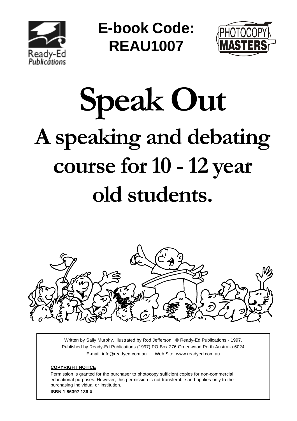

**E-book Code: REAU1007**



# **Speak Out A speaking and debating course for 10 - 12 year old students.**



Written by Sally Murphy. Illustrated by Rod Jefferson. © Ready-Ed Publications - 1997. Published by Ready-Ed Publications (1997) PO Box 276 Greenwood Perth Australia 6024 E-mail: info@readyed.com.au Web Site: www.readyed.com.au

#### **COPYRIGHT NOTICE**

Permission is granted for the purchaser to photocopy sufficient copies for non-commercial educational purposes. However, this permission is not transferable and applies only to the purchasing individual or institution. **ISBN 1 86397 136 X**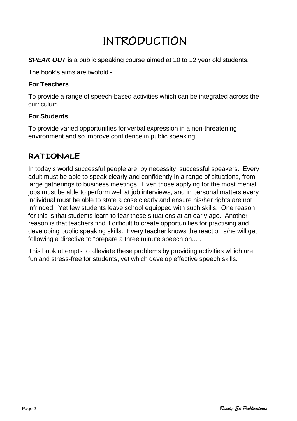# **INTRODUCTION**

**SPEAK OUT** is a public speaking course aimed at 10 to 12 year old students.

The book's aims are twofold -

#### **For Teachers**

To provide a range of speech-based activities which can be integrated across the curriculum.

#### **For Students**

To provide varied opportunities for verbal expression in a non-threatening environment and so improve confidence in public speaking.

### **RATIONALE**

In today's world successful people are, by necessity, successful speakers. Every adult must be able to speak clearly and confidently in a range of situations, from large gatherings to business meetings. Even those applying for the most menial jobs must be able to perform well at job interviews, and in personal matters every individual must be able to state a case clearly and ensure his/her rights are not infringed. Yet few students leave school equipped with such skills. One reason for this is that students learn to fear these situations at an early age. Another reason is that teachers find it difficult to create opportunities for practising and developing public speaking skills. Every teacher knows the reaction s/he will get following a directive to "prepare a three minute speech on...".

This book attempts to alleviate these problems by providing activities which are fun and stress-free for students, yet which develop effective speech skills.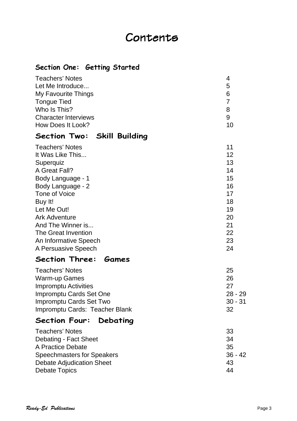## Contents

#### **Section One: Getting Started**

| <b>Teachers' Notes</b>           | 4              |
|----------------------------------|----------------|
| Let Me Introduce                 | 5              |
| <b>My Favourite Things</b>       | 6              |
| <b>Tongue Tied</b>               | $\overline{7}$ |
| Who Is This?                     | 8              |
| <b>Character Interviews</b>      | 9              |
| How Does It Look?                | 10             |
| Section Two: Skill Building      |                |
| <b>Teachers' Notes</b>           | 11             |
| It Was Like This                 | 12             |
| Superquiz                        | 13             |
| A Great Fall?                    | 14             |
| Body Language - 1                | 15             |
| Body Language - 2                | 16             |
| <b>Tone of Voice</b>             | 17             |
| Buy It!                          | 18             |
| Let Me Out!                      | 19             |
| <b>Ark Adventure</b>             | 20             |
| And The Winner is                | 21             |
| <b>The Great Invention</b>       | 22             |
| An Informative Speech            | 23             |
| A Persuasive Speech              | 24             |
| Section Three: Games             |                |
| <b>Teachers' Notes</b>           | 25             |
| <b>Warm-up Games</b>             | 26             |
| <b>Impromptu Activities</b>      | 27             |
| Impromptu Cards Set One          | 28 - 29        |
| Impromptu Cards Set Two          | $30 - 31$      |
| Impromptu Cards: Teacher Blank   | 32             |
| <b>Section Four:</b><br>Debating |                |
| Teachers' Notes                  | 33             |

| 33        |
|-----------|
| 34        |
| 35        |
| $36 - 42$ |
| 43        |
| 44        |
|           |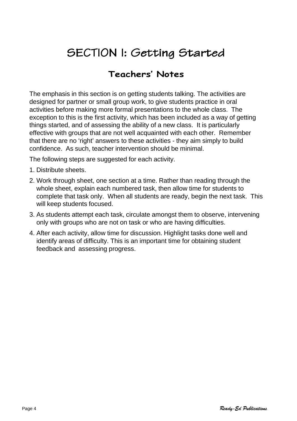# SECTION I: Getting Started

## **Teachers' Notes**

The emphasis in this section is on getting students talking. The activities are designed for partner or small group work, to give students practice in oral activities before making more formal presentations to the whole class. The exception to this is the first activity, which has been included as a way of getting things started, and of assessing the ability of a new class. It is particularly effective with groups that are not well acquainted with each other. Remember that there are no 'right' answers to these activities - they aim simply to build confidence. As such, teacher intervention should be minimal.

The following steps are suggested for each activity.

- 1. Distribute sheets.
- 2. Work through sheet, one section at a time. Rather than reading through the whole sheet, explain each numbered task, then allow time for students to complete that task only. When all students are ready, begin the next task. This will keep students focused.
- 3. As students attempt each task, circulate amongst them to observe, intervening only with groups who are not on task or who are having difficulties.
- 4. After each activity, allow time for discussion. Highlight tasks done well and identify areas of difficulty. This is an important time for obtaining student feedback and assessing progress.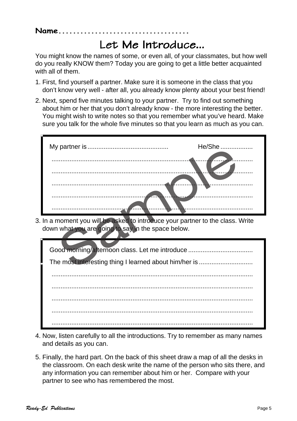#### **Name....................................**

## Let Me Introduce...

You might know the names of some, or even all, of your classmates, but how well do you really KNOW them? Today you are going to get a little better acquainted with all of them.

- 1. First, find yourself a partner. Make sure it is someone in the class that you don't know very well - after all, you already know plenty about your best friend!
- 2. Next, spend five minutes talking to your partner. Try to find out something about him or her that you don't already know - the more interesting the better. You might wish to write notes so that you remember what you've heard. Make sure you talk for the whole five minutes so that you learn as much as you can.



3. In a moment you will be asked to introduce your partner to the class. Write down what you are going to say in the space below.

| Good morning/arternoon class. Let me introduce |  |
|------------------------------------------------|--|
|                                                |  |
|                                                |  |
|                                                |  |
|                                                |  |
|                                                |  |
|                                                |  |

- 4. Now, listen carefully to all the introductions. Try to remember as many names and details as you can.
- 5. Finally, the hard part. On the back of this sheet draw a map of all the desks in the classroom. On each desk write the name of the person who sits there, and any information you can remember about him or her. Compare with your partner to see who has remembered the most.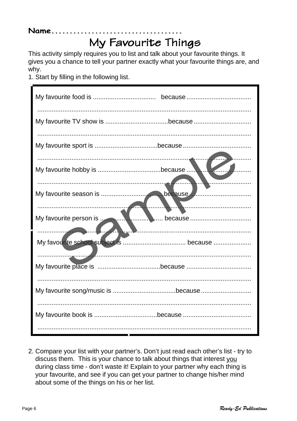## Name..........

# My Favourite Things

This activity simply requires you to list and talk about your favourite things. It gives you a chance to tell your partner exactly what your favourite things are, and why.

1. Start by filling in the following list.

 $\mathbf{r}$ 

| My favourite person is | <u>Exercise de la production de la production de la production de la production de la production de la production de la production de la production de la production de la production de la production de la production de la pr</u> |
|------------------------|--------------------------------------------------------------------------------------------------------------------------------------------------------------------------------------------------------------------------------------|
|                        |                                                                                                                                                                                                                                      |
|                        |                                                                                                                                                                                                                                      |
|                        |                                                                                                                                                                                                                                      |
|                        |                                                                                                                                                                                                                                      |
|                        |                                                                                                                                                                                                                                      |

2. Compare your list with your partner's. Don't just read each other's list - try to discuss them. This is your chance to talk about things that interest you during class time - don't waste it! Explain to your partner why each thing is your favourite, and see if you can get your partner to change his/her mind about some of the things on his or her list.